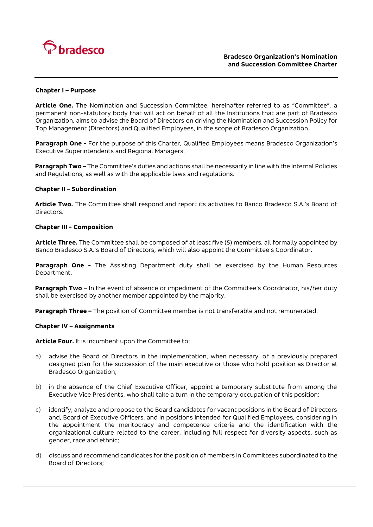

## **Chapter I – Purpose**

**Article One.** The Nomination and Succession Committee, hereinafter referred to as "Committee", a permanent non-statutory body that will act on behalf of all the Institutions that are part of Bradesco Organization, aims to advise the Board of Directors on driving the Nomination and Succession Policy for Top Management (Directors) and Qualified Employees, in the scope of Bradesco Organization.

**Paragraph One -** For the purpose of this Charter, Qualified Employees means Bradesco Organization's Executive Superintendents and Regional Managers.

**Paragraph Two –** The Committee's duties and actions shall be necessarily in line with the Internal Policies and Regulations, as well as with the applicable laws and regulations.

## **Chapter II – Subordination**

**Article Two.** The Committee shall respond and report its activities to Banco Bradesco S.A.'s Board of **Directors** 

### **Chapter III - Composition**

**Article Three.** The Committee shall be composed of at least five (5) members, all formally appointed by Banco Bradesco S.A.'s Board of Directors, which will also appoint the Committee's Coordinator.

**Paragraph One -** The Assisting Department duty shall be exercised by the Human Resources Department.

**Paragraph Two** – In the event of absence or impediment of the Committee's Coordinator, his/her duty shall be exercised by another member appointed by the majority.

**Paragraph Three –** The position of Committee member is not transferable and not remunerated.

## **Chapter IV – Assignments**

**Article Four.** It is incumbent upon the Committee to:

- a) advise the Board of Directors in the implementation, when necessary, of a previously prepared designed plan for the succession of the main executive or those who hold position as Director at Bradesco Organization;
- b) in the absence of the Chief Executive Officer, appoint a temporary substitute from among the Executive Vice Presidents, who shall take a turn in the temporary occupation of this position;
- c) identify, analyze and propose to the Board candidates for vacant positions in the Board of Directors and, Board of Executive Officers, and in positions intended for Qualified Employees, considering in the appointment the meritocracy and competence criteria and the identification with the organizational culture related to the career, including full respect for diversity aspects, such as gender, race and ethnic;
- d) discuss and recommend candidates for the position of members in Committees subordinated to the Board of Directors;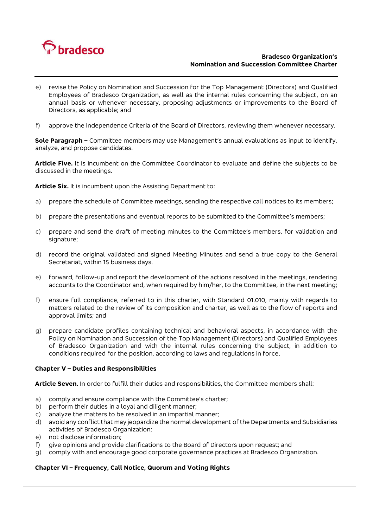

# **Bradesco Organization's Nomination and Succession Committee Charter**

- e) revise the Policy on Nomination and Succession for the Top Management (Directors) and Qualified Employees of Bradesco Organization, as well as the internal rules concerning the subject, on an annual basis or whenever necessary, proposing adjustments or improvements to the Board of Directors, as applicable; and
- f) approve the Independence Criteria of the Board of Directors, reviewing them whenever necessary.

**Sole Paragraph –** Committee members may use Management's annual evaluations as input to identify, analyze, and propose candidates.

**Article Five.** It is incumbent on the Committee Coordinator to evaluate and define the subjects to be discussed in the meetings.

**Article Six.** It is incumbent upon the Assisting Department to:

- a) prepare the schedule of Committee meetings, sending the respective call notices to its members;
- b) prepare the presentations and eventual reports to be submitted to the Committee's members;
- c) prepare and send the draft of meeting minutes to the Committee's members, for validation and signature;
- d) record the original validated and signed Meeting Minutes and send a true copy to the General Secretariat, within 15 business days.
- e) forward, follow-up and report the development of the actions resolved in the meetings, rendering accounts to the Coordinator and, when required by him/her, to the Committee, in the next meeting;
- f) ensure full compliance, referred to in this charter, with Standard 01.010, mainly with regards to matters related to the review of its composition and charter, as well as to the flow of reports and approval limits; and
- g) prepare candidate profiles containing technical and behavioral aspects, in accordance with the Policy on Nomination and Succession of the Top Management (Directors) and Qualified Employees of Bradesco Organization and with the internal rules concerning the subject, in addition to conditions required for the position, according to laws and regulations in force.

### **Chapter V – Duties and Responsibilities**

**Article Seven.** In order to fulfill their duties and responsibilities, the Committee members shall:

- a) comply and ensure compliance with the Committee's charter;
- b) perform their duties in a loyal and diligent manner;
- c) analyze the matters to be resolved in an impartial manner;
- d) avoid any conflict that may jeopardize the normal development of the Departments and Subsidiaries activities of Bradesco Organization;
- e) not disclose information;
- f) give opinions and provide clarifications to the Board of Directors upon request; and
- g) comply with and encourage good corporate governance practices at Bradesco Organization.

## **Chapter VI – Frequency, Call Notice, Quorum and Voting Rights**